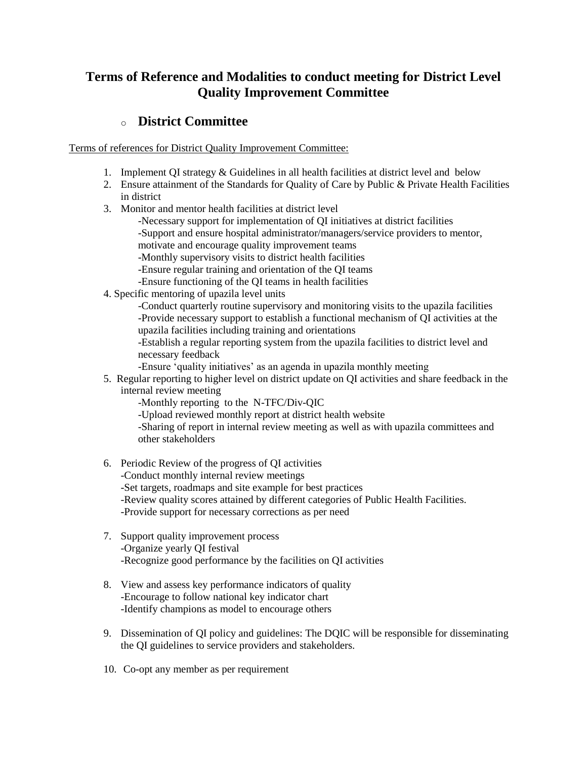# **Terms of Reference and Modalities to conduct meeting for District Level Quality Improvement Committee**

### o **[District Committee](http://qis.gov.bd/pdf/district.pdf)**

Terms of references for District Quality Improvement Committee:

- 1. Implement QI strategy & Guidelines in all health facilities at district level and below
- 2. Ensure attainment of the Standards for Quality of Care by Public & Private Health Facilities in district
- 3. Monitor and mentor health facilities at district level
	- -Necessary support for implementation of QI initiatives at district facilities -Support and ensure hospital administrator/managers/service providers to mentor,
	- motivate and encourage quality improvement teams
	- -Monthly supervisory visits to district health facilities
	- -Ensure regular training and orientation of the QI teams
	- -Ensure functioning of the QI teams in health facilities
- 4. Specific mentoring of upazila level units

-Conduct quarterly routine supervisory and monitoring visits to the upazila facilities -Provide necessary support to establish a functional mechanism of QI activities at the upazila facilities including training and orientations

-Establish a regular reporting system from the upazila facilities to district level and necessary feedback

-Ensure 'quality initiatives' as an agenda in upazila monthly meeting

5. Regular reporting to higher level on district update on QI activities and share feedback in the internal review meeting

-Monthly reporting to the N-TFC/Div-QIC

-Upload reviewed monthly report at district health website

-Sharing of report in internal review meeting as well as with upazila committees and other stakeholders

- 6. Periodic Review of the progress of QI activities -Conduct monthly internal review meetings -Set targets, roadmaps and site example for best practices -Review quality scores attained by different categories of Public Health Facilities. -Provide support for necessary corrections as per need
- 7. Support quality improvement process -Organize yearly QI festival -Recognize good performance by the facilities on QI activities
- 8. View and assess key performance indicators of quality -Encourage to follow national key indicator chart -Identify champions as model to encourage others
- 9. Dissemination of QI policy and guidelines: The DQIC will be responsible for disseminating the QI guidelines to service providers and stakeholders.
- 10. Co-opt any member as per requirement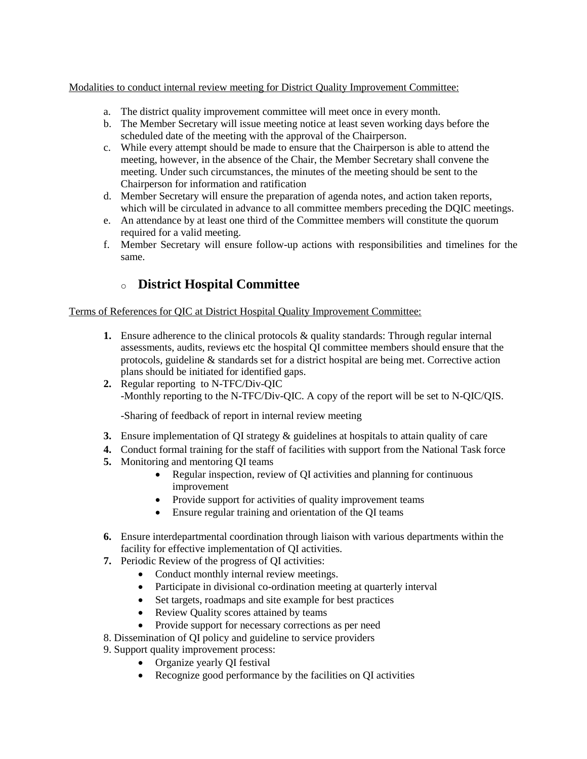### Modalities to conduct internal review meeting for District Quality Improvement Committee:

- a. The district quality improvement committee will meet once in every month.
- b. The Member Secretary will issue meeting notice at least seven working days before the scheduled date of the meeting with the approval of the Chairperson.
- c. While every attempt should be made to ensure that the Chairperson is able to attend the meeting, however, in the absence of the Chair, the Member Secretary shall convene the meeting. Under such circumstances, the minutes of the meeting should be sent to the Chairperson for information and ratification
- d. Member Secretary will ensure the preparation of agenda notes, and action taken reports, which will be circulated in advance to all committee members preceding the DQIC meetings.
- e. An attendance by at least one third of the Committee members will constitute the quorum required for a valid meeting.
- f. Member Secretary will ensure follow-up actions with responsibilities and timelines for the same.

## o **[District Hospital Committee](http://qis.gov.bd/pdf/districthospital.pdf)**

#### Terms of References for QIC at District Hospital Quality Improvement Committee:

- **1.** Ensure adherence to the clinical protocols & quality standards: Through regular internal assessments, audits, reviews etc the hospital QI committee members should ensure that the protocols, guideline & standards set for a district hospital are being met. Corrective action plans should be initiated for identified gaps.
- **2.** Regular reporting to N-TFC/Div-QIC -Monthly reporting to the N-TFC/Div-QIC. A copy of the report will be set to N-QIC/QIS.

-Sharing of feedback of report in internal review meeting

- **3.** Ensure implementation of QI strategy & guidelines at hospitals to attain quality of care
- **4.** Conduct formal training for the staff of facilities with support from the National Task force
- **5.** Monitoring and mentoring QI teams
	- Regular inspection, review of QI activities and planning for continuous improvement
	- Provide support for activities of quality improvement teams
	- Ensure regular training and orientation of the QI teams
- **6.** Ensure interdepartmental coordination through liaison with various departments within the facility for effective implementation of QI activities.
- **7.** Periodic Review of the progress of QI activities:
	- Conduct monthly internal review meetings.
	- Participate in divisional co-ordination meeting at quarterly interval
	- Set targets, roadmaps and site example for best practices
	- Review Quality scores attained by teams
	- Provide support for necessary corrections as per need
- 8. Dissemination of QI policy and guideline to service providers
- 9. Support quality improvement process:
	- Organize yearly QI festival
	- Recognize good performance by the facilities on QI activities